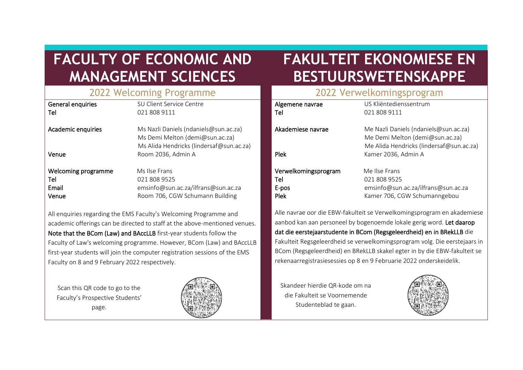# **FACULTY OF ECONOMIC AND MANAGEMENT SCIENCES**

# **FAKULTEIT EKONOMIESE EN BESTUURSWETENSKAPPE**

| SU Client Service Centre<br>021 808 9111                                                                             |
|----------------------------------------------------------------------------------------------------------------------|
| Ms Nazli Daniels (ndaniels@sun.ac.za)<br>Ms Demi Melton (demi@sun.ac.za)<br>Ms Alida Hendricks (lindersaf@sun.ac.za) |
| Room 2036, Admin A                                                                                                   |
| Ms Ilse Frans<br>021 808 9525<br>emsinfo@sun.ac.za/ilfrans@sun.ac.za<br>Room 706, CGW Schumann Building              |
|                                                                                                                      |

All enquiries regarding the EMS Faculty's Welcoming Programme and academic offerings can be directed to staff at the above-mentioned venues. Note that the BCom (Law) and BAccLLB first-year students follow the Faculty of Law's welcoming programme. However, BCom (Law) and BAccLLB first-year students will join the computer registration sessions of the EMS Faculty on 8 and 9 February 2022 respectively.

Scan this QR code to go to the Faculty's Prospective Students' page.



### 2022 Welcoming Programme 2022 Verwelkomingsprogram

| Algemene navrae      | US Kliëntedienssentrum                                                                                               |
|----------------------|----------------------------------------------------------------------------------------------------------------------|
| Tel                  | 021 808 9111                                                                                                         |
| Akademiese navrae    | Me Nazli Daniels (ndaniels@sun.ac.za)<br>Me Demi Melton (demi@sun.ac.za)<br>Me Alida Hendricks (lindersaf@sun.ac.za) |
| <b>Plek</b>          | Kamer 2036, Admin A                                                                                                  |
| Verwelkomingsprogram | Me Ilse Frans                                                                                                        |
| Tel                  | 021 808 9525                                                                                                         |
| E-pos                | emsinfo@sun.ac.za/ilfrans@sun.ac.za                                                                                  |
| Plek                 | Kamer 706, CGW Schumanngebou                                                                                         |

Alle navrae oor die EBW-fakulteit se Verwelkomingsprogram en akademiese aanbod kan aan personeel by bogenoemde lokale gerig word. Let daarop dat die eerstejaarstudente in BCom (Regsgeleerdheid) en in BRekLLB die Fakulteit Regsgeleerdheid se verwelkomingsprogram volg. Die eerstejaars in BCom (Regsgeleerdheid) en BRekLLB skakel egter in by die EBW-fakulteit se rekenaarregistrasiesessies op 8 en 9 Februarie 2022 onderskeidelik.

Skandeer hierdie QR-kode om na die Fakulteit se Voornemende Studenteblad te gaan.

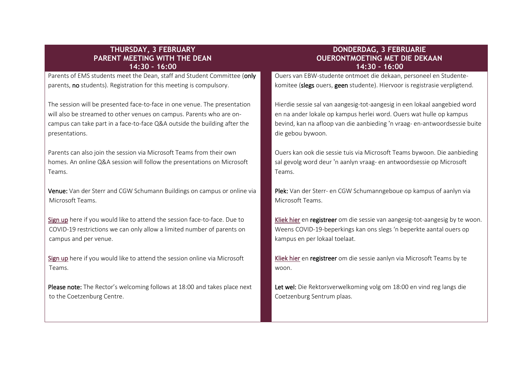#### **THURSDAY, 3 FEBRUARY PARENT MEETING WITH THE DEAN 14:30 – 16:00**

Parents of EMS students meet the Dean, staff and Student Committee (only parents, no students). Registration for this meeting is compulsory.

The session will be presented face-to-face in one venue. The presentation will also be streamed to other venues on campus. Parents who are oncampus can take part in a face-to-face Q&A outside the building after the presentations.

Parents can also join the session via Microsoft Teams from their own homes. An online Q&A session will follow the presentations on Microsoft Teams.

Venue: Van der Sterr and CGW Schumann Buildings on campus or online via Microsoft Teams.

[Sign up](https://forms.gle/tbUL2qyrqEQD2YDs7) here if you would like to attend the session face-to-face. Due to COVID-19 restrictions we can only allow a limited number of parents on campus and per venue.

[Sign up](https://forms.gle/MU1epXuQVYvf3yXd6) here if you would like to attend the session online via Microsoft Teams.

Please note: The Rector's welcoming follows at 18:00 and takes place next to the Coetzenburg Centre.

#### **DONDERDAG, 3 FEBRUARIE OUERONTMOETING MET DIE DEKAAN 14:30 – 16:00**

Ouers van EBW-studente ontmoet die dekaan, personeel en Studentekomitee (slegs ouers, geen studente). Hiervoor is registrasie verpligtend.

Hierdie sessie sal van aangesig-tot-aangesig in een lokaal aangebied word en na ander lokale op kampus herlei word. Ouers wat hulle op kampus bevind, kan na afloop van die aanbieding 'n vraag- en-antwoordsessie buite die gebou bywoon.

Ouers kan ook die sessie tuis via Microsoft Teams bywoon. Die aanbieding sal gevolg word deur 'n aanlyn vraag- en antwoordsessie op Microsoft Teams.

Plek: Van der Sterr- en CGW Schumanngeboue op kampus of aanlyn via Microsoft Teams.

[Kliek hier](https://forms.gle/tbUL2qyrqEQD2YDs7) en registreer om die sessie van aangesig-tot-aangesig by te woon. Weens COVID-19-beperkings kan ons slegs 'n beperkte aantal ouers op kampus en per lokaal toelaat.

[Kliek hier](https://forms.gle/MU1epXuQVYvf3yXd6) en registreer om die sessie aanlyn via Microsoft Teams by te woon.

Let wel: Die Rektorsverwelkoming volg om 18:00 en vind reg langs die Coetzenburg Sentrum plaas.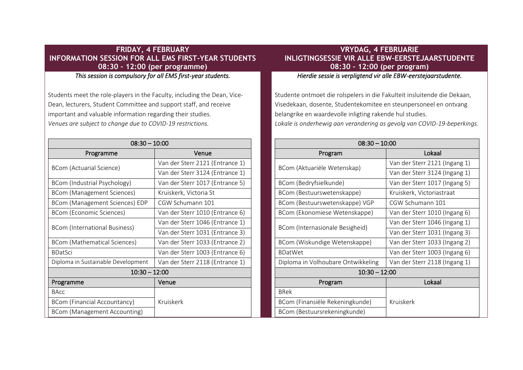#### **FRIDAY, 4 FEBRUARY INFORMATION SESSION FOR ALL EMS FIRST-YEAR STUDENTS 08:30 – 12:00 (per programme)**

*This session is compulsory for all EMS first-year students.* 

Students meet the role-players in the Faculty, including the Dean, Vice-Dean, lecturers, Student Committee and support staff, and receive important and valuable information regarding their studies. *Venues are subject to change due to COVID-19 restrictions.*

| $08:30 - 10:00$                    |                                 |
|------------------------------------|---------------------------------|
| Programme                          | Venue                           |
| BCom (Actuarial Science)           | Van der Sterr 2121 (Entrance 1) |
|                                    | Van der Sterr 3124 (Entrance 1) |
| BCom (Industrial Psychology)       | Van der Sterr 1017 (Entrance 5) |
| BCom (Management Sciences)         | Kruiskerk, Victoria St          |
| BCom (Management Sciences) EDP     | CGW Schumann 101                |
| BCom (Economic Sciences)           | Van der Sterr 1010 (Entrance 6) |
| BCom (International Business)      | Van der Sterr 1046 (Entrance 1) |
|                                    | Van der Sterr 1031 (Entrance 3) |
| BCom (Mathematical Sciences)       | Van der Sterr 1033 (Entrance 2) |
| <b>BDatSci</b>                     | Van der Sterr 1003 (Entrance 6) |
| Diploma in Sustainable Development | Van der Sterr 2118 (Entrance 1) |
| $10:30 - 12:00$                    |                                 |
| Programme                          | Venue                           |
| <b>BAcc</b>                        |                                 |
| BCom (Financial Accountancy)       | Kruiskerk                       |
| BCom (Management Accounting)       |                                 |

### **VRYDAG, 4 FEBRUARIE INLIGTINGSESSIE VIR ALLE EBW-EERSTEJAARSTUDENTE 08:30 – 12:00 (per program)**

*Hierdie sessie is verpligtend vir alle EBW-eerstejaarstudente.* 

Studente ontmoet die rolspelers in die Fakulteit insluitende die Dekaan, Visedekaan, dosente, Studentekomitee en steunpersoneel en ontvang belangrike en waardevolle inligting rakende hul studies. *Lokale is onderhewig aan verandering as gevolg van COVID-19-beperkings.*

| $08:30 - 10:00$                    |                               |
|------------------------------------|-------------------------------|
| Program                            | Lokaal                        |
| BCom (Aktuariële Wetenskap)        | Van der Sterr 2121 (Ingang 1) |
|                                    | Van der Sterr 3124 (Ingang 1) |
| BCom (Bedryfsielkunde)             | Van der Sterr 1017 (Ingang 5) |
| BCom (Bestuurswetenskappe)         | Kruiskerk, Victoriastraat     |
| BCom (Bestuurswetenskappe) VGP     | CGW Schumann 101              |
| BCom (Ekonomiese Wetenskappe)      | Van der Sterr 1010 (Ingang 6) |
| BCom (Internasionale Besigheid)    | Van der Sterr 1046 (Ingang 1) |
|                                    | Van der Sterr 1031 (Ingang 3) |
| BCom (Wiskundige Wetenskappe)      | Van der Sterr 1033 (Ingang 2) |
| <b>BDatWet</b>                     | Van der Sterr 1003 (Ingang 6) |
| Diploma in Volhoubare Ontwikkeling | Van der Sterr 2118 (Ingang 1) |
| $10:30 - 12:00$                    |                               |
| Program                            | Lokaal                        |
| <b>BRek</b>                        |                               |
| BCom (Finansiële Rekeningkunde)    | Kruiskerk                     |
| BCom (Bestuursrekeningkunde)       |                               |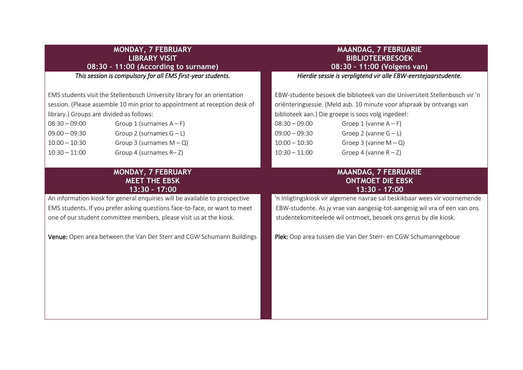|                                                                                                                      | <b>MONDAY, 7 FEBRUARY</b><br><b>LIBRARY VISIT</b><br>08:30 - 11:00 (According to surname)                                                                                                                                                                                                                                                                                | <b>MAANDAG, 7 FEBRUARIE</b><br><b>BIBLIOTEEKBESOEK</b><br>08:30 - 11:00 (Volgens van)                                                                                                                                                                                                                                                                                                                  |
|----------------------------------------------------------------------------------------------------------------------|--------------------------------------------------------------------------------------------------------------------------------------------------------------------------------------------------------------------------------------------------------------------------------------------------------------------------------------------------------------------------|--------------------------------------------------------------------------------------------------------------------------------------------------------------------------------------------------------------------------------------------------------------------------------------------------------------------------------------------------------------------------------------------------------|
|                                                                                                                      | This session is compulsory for all EMS first-year students.                                                                                                                                                                                                                                                                                                              | Hierdie sessie is verpligtend vir alle EBW-eerstejaarstudente.                                                                                                                                                                                                                                                                                                                                         |
| library.) Groups are divided as follows:<br>$08:30 - 09:00$<br>$09:00 - 09:30$<br>$10:00 - 10:30$<br>$10:30 - 11:00$ | EMS students visit the Stellenbosch University library for an orientation<br>session. (Please assemble 10 min prior to appointment at reception desk of<br>Group 1 (surnames $A - F$ )<br>Group 2 (surnames $G - L$ )<br>Group 3 (surnames $M - Q$ )<br>Group 4 (surnames $R - Z$ )                                                                                      | EBW-studente besoek die biblioteek van die Universiteit Stellenbosch vir 'n<br>oriënteringsessie. (Meld asb. 10 minute voor afspraak by ontvangs van<br>biblioteek aan.) Die groepe is soos volg ingedeel:<br>$08:30 - 09:00$<br>Groep 1 (vanne $A - F$ )<br>Groep 2 (vanne $G - L$ )<br>$09:00 - 09:30$<br>Groep 3 (vanne $M - Q$ )<br>$10:00 - 10:30$<br>Groep 4 (vanne $R - Z$ )<br>$10:30 - 11:00$ |
|                                                                                                                      | MONDAY, 7 FEBRUARY<br><b>MEET THE EBSK</b><br>13:30 - 17:00<br>An information kiosk for general enquiries will be available to prospective<br>EMS students. If you prefer asking questions face-to-face, or want to meet<br>one of our student committee members, please visit us at the kiosk.<br>Venue: Open area between the Van Der Sterr and CGW Schumann Buildings | <b>MAANDAG, 7 FEBRUARIE</b><br><b>ONTMOET DIE EBSK</b><br>13:30 - 17:00<br>'n Inligtingskiosk vir algemene navrae sal beskikbaar wees vir voornemende<br>EBW-studente. As jy vrae van aangesig-tot-aangesig wil vra of een van ons<br>studentekomiteelede wil ontmoet, besoek ons gerus by die kiosk.<br>Plek: Oop area tussen die Van Der Sterr- en CGW Schumanngeboue                                |
|                                                                                                                      |                                                                                                                                                                                                                                                                                                                                                                          |                                                                                                                                                                                                                                                                                                                                                                                                        |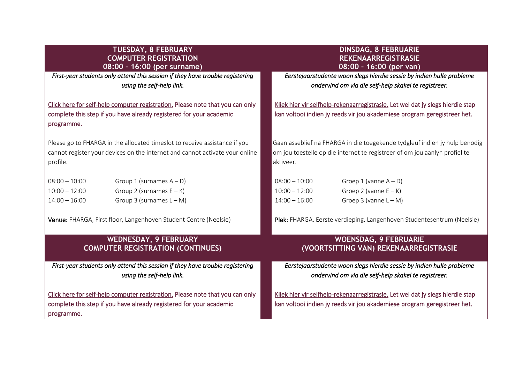#### **TUESDAY, 8 FEBRUARY COMPUTER REGISTRATION 08:00 – 16:00 (per surname)**

*First-year students only attend this session if they have trouble registering using the self-help link.* 

[Click here for self-help computer registration.](https://fharga.pages.cs.sun.ac.za/) Please note that you can only complete this step if you have already registered for your academic programme.

Please go to FHARGA in the allocated timeslot to receive assistance if you cannot register your devices on the internet and cannot activate your online profile.

| $08:00 - 10:00$ | Group 1 (surnames $A - D$ ) |
|-----------------|-----------------------------|
| $10:00 - 12:00$ | Group 2 (surnames $E - K$ ) |
| $14:00 - 16:00$ | Group 3 (surnames $L - M$ ) |

Venue: FHARGA, First floor, Langenhoven Student Centre (Neelsie)

#### **WEDNESDAY, 9 FEBRUARY COMPUTER REGISTRATION (CONTINUES)**

*First-year students only attend this session if they have trouble registering using the self-help link.* 

[Click here for self-help computer registration.](https://fharga.pages.cs.sun.ac.za/) Please note that you can only complete this step if you have already registered for your academic programme.

#### **DINSDAG, 8 FEBRUARIE REKENAARREGISTRASIE 08:00 – 16:00 (per van)**

 *Eerstejaarstudente woon slegs hierdie sessie by indien hulle probleme ondervind om via die self-help skakel te registreer.* 

[Kliek hier vir selfhelp-rekenaarregistrasie.](https://fharga.pages.cs.sun.ac.za/) Let wel dat jy slegs hierdie stap kan voltooi indien jy reeds vir jou akademiese program geregistreer het.

Gaan asseblief na FHARGA in die toegekende tydgleuf indien jy hulp benodig om jou toestelle op die internet te registreer of om jou aanlyn profiel te aktiveer.

| $08:00 - 10:00$ | Groep 1 (vanne $A - D$ ) |
|-----------------|--------------------------|
| $10:00 - 12:00$ | Groep 2 (vanne $E - K$ ) |
| $14:00 - 16:00$ | Groep 3 (vanne $L - M$ ) |

Plek: FHARGA, Eerste verdieping, Langenhoven Studentesentrum (Neelsie)

#### **WOENSDAG, 9 FEBRUARIE (VOORTSITTING VAN) REKENAARREGISTRASIE**

 *Eerstejaarstudente woon slegs hierdie sessie by indien hulle probleme ondervind om via die self-help skakel te registreer.* 

[Kliek hier vir selfhelp-rekenaarregistrasie.](https://fharga.pages.cs.sun.ac.za/) Let wel dat jy slegs hierdie stap kan voltooi indien jy reeds vir jou akademiese program geregistreer het.